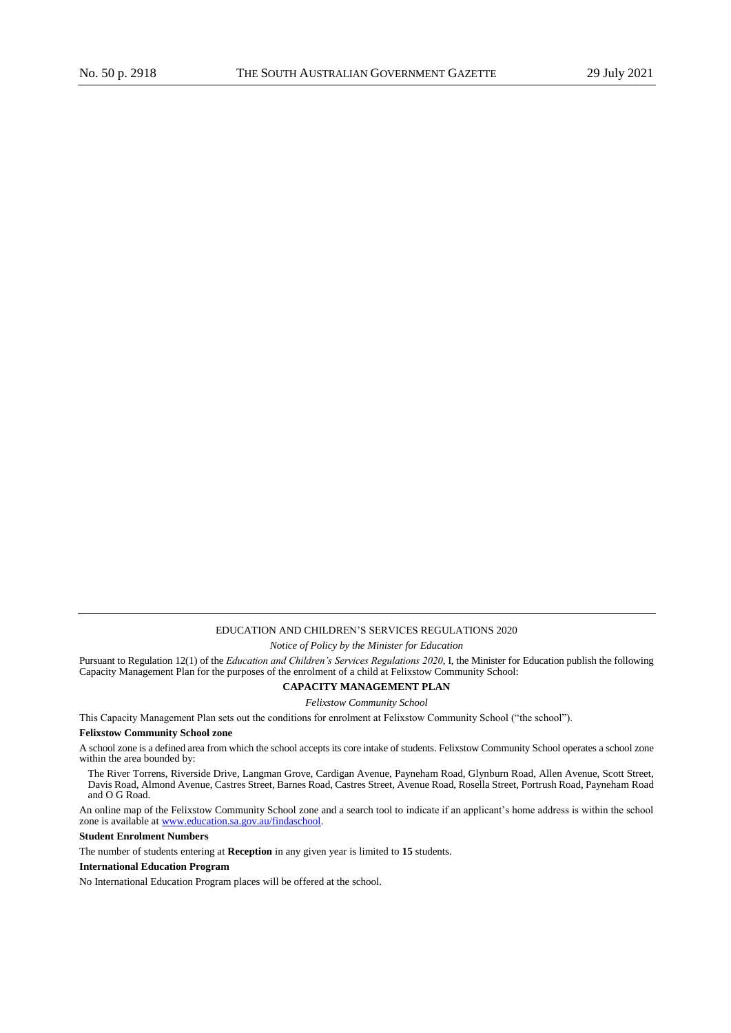# EDUCATION AND CHILDREN'S SERVICES REGULATIONS 2020

*Notice of Policy by the Minister for Education* 

Pursuant to Regulation 12(1) of the *Education and Children's Services Regulations 2020*, I, the Minister for Education publish the following Capacity Management Plan for the purposes of the enrolment of a child at Felixstow Community School:

## **CAPACITY MANAGEMENT PLAN**

*Felixstow Community School* 

This Capacity Management Plan sets out the conditions for enrolment at Felixstow Community School ("the school").

## **Felixstow Community School zone**

A school zone is a defined area from which the school accepts its core intake of students. Felixstow Community School operates a school zone within the area bounded by:

The River Torrens, Riverside Drive, Langman Grove, Cardigan Avenue, Payneham Road, Glynburn Road, Allen Avenue, Scott Street, Davis Road, Almond Avenue, Castres Street, Barnes Road, Castres Street, Avenue Road, Rosella Street, Portrush Road, Payneham Road and O G Road.

An online map of the Felixstow Community School zone and a search tool to indicate if an applicant's home address is within the school zone is available a[t www.education.sa.gov.au/findaschool.](http://www.education.sa.gov.au/findaschool) 

# **Student Enrolment Numbers**

The number of students entering at **Reception** in any given year is limited to **15** students.

# **International Education Program**

No International Education Program places will be offered at the school.